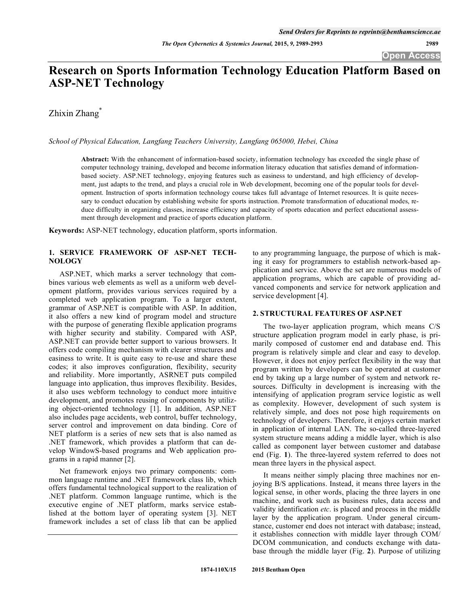# **Research on Sports Information Technology Education Platform Based on ASP-NET Technology**

Zhixin Zhang<sup>\*</sup>

*School of Physical Education, Langfang Teachers University, Langfang 065000, Hebei, China* 

**Abstract:** With the enhancement of information-based society, information technology has exceeded the single phase of computer technology training, developed and become information literacy education that satisfies demand of informationbased society. ASP.NET technology, enjoying features such as easiness to understand, and high efficiency of development, just adapts to the trend, and plays a crucial role in Web development, becoming one of the popular tools for development. Instruction of sports information technology course takes full advantage of Internet resources. It is quite necessary to conduct education by establishing website for sports instruction. Promote transformation of educational modes, reduce difficulty in organizing classes, increase efficiency and capacity of sports education and perfect educational assessment through development and practice of sports education platform.

**Keywords:** ASP-NET technology, education platform, sports information.

# **1. SERVICE FRAMEWORK OF ASP-NET TECH-NOLOGY**

ASP.NET, which marks a server technology that combines various web elements as well as a uniform web development platform, provides various services required by a completed web application program. To a larger extent, grammar of ASP.NET is compatible with ASP. In addition, it also offers a new kind of program model and structure with the purpose of generating flexible application programs with higher security and stability. Compared with ASP, ASP.NET can provide better support to various browsers. It offers code compiling mechanism with clearer structures and easiness to write. It is quite easy to re-use and share these codes; it also improves configuration, flexibility, security and reliability. More importantly, ASRNET puts compiled language into application, thus improves flexibility. Besides, it also uses webform technology to conduct more intuitive development, and promotes reusing of components by utilizing object-oriented technology [1]. In addition, ASP.NET also includes page accidents, web control, buffer technology, server control and improvement on data binding. Core of NET platform is a series of new sets that is also named as .NET framework, which provides a platform that can develop WindowS-based programs and Web application programs in a rapid manner [2].

Net framework enjoys two primary components: common language runtime and .NET framework class lib, which offers fundamental technological support to the realization of .NET platform. Common language runtime, which is the executive engine of .NET platform, marks service established at the bottom layer of operating system [3]. NET framework includes a set of class lib that can be applied

to any programming language, the purpose of which is making it easy for programmers to establish network-based application and service. Above the set are numerous models of application programs, which are capable of providing advanced components and service for network application and service development [4].

# **2. STRUCTURAL FEATURES OF ASP.NET**

The two-layer application program, which means C/S structure application program model in early phase, is primarily composed of customer end and database end. This program is relatively simple and clear and easy to develop. However, it does not enjoy perfect flexibility in the way that program written by developers can be operated at customer end by taking up a large number of system and network resources. Difficulty in development is increasing with the intensifying of application program service logistic as well as complexity. However, development of such system is relatively simple, and does not pose high requirements on technology of developers. Therefore, it enjoys certain market in application of internal LAN. The so-called three-layered system structure means adding a middle layer, which is also called as component layer between customer and database end (Fig. **1**). The three-layered system referred to does not mean three layers in the physical aspect.

It means neither simply placing three machines nor enjoying B/S applications. Instead, it means three layers in the logical sense, in other words, placing the three layers in one machine, and work such as business rules, data access and validity identification *etc*. is placed and process in the middle layer by the application program. Under general circumstance, customer end does not interact with database; instead, it establishes connection with middle layer through COM/ DCOM communication, and conducts exchange with database through the middle layer (Fig. **2**). Purpose of utilizing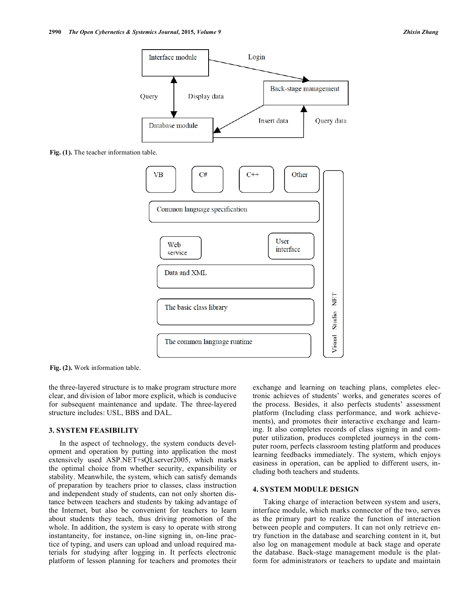

**Fig. (1).** The teacher information table.



**Fig. (2).** Work information table.

the three-layered structure is to make program structure more clear, and division of labor more explicit, which is conducive for subsequent maintenance and update. The three-layered structure includes: USL, BBS and DAL.

### **3. SYSTEM FEASIBILITY**

In the aspect of technology, the system conducts development and operation by putting into application the most extensively used ASP.NET+sQLserver2005, which marks the optimal choice from whether security, expansibility or stability. Meanwhile, the system, which can satisfy demands of preparation by teachers prior to classes, class instruction and independent study of students, can not only shorten distance between teachers and students by taking advantage of the Internet, but also be convenient for teachers to learn about students they teach, thus driving promotion of the whole. In addition, the system is easy to operate with strong instantaneity, for instance, on-line signing in, on-line practice of typing, and users can upload and unload required materials for studying after logging in. It perfects electronic platform of lesson planning for teachers and promotes their

exchange and learning on teaching plans, completes electronic achieves of students' works, and generates scores of the process. Besides, it also perfects students' assessment platform (Including class performance, and work achievements), and promotes their interactive exchange and learning. It also completes records of class signing in and computer utilization, produces completed journeys in the computer room, perfects classroom testing platform and produces learning feedbacks immediately. The system, which enjoys easiness in operation, can be applied to different users, including both teachers and students.

### **4. SYSTEM MODULE DESIGN**

Taking charge of interaction between system and users, interface module, which marks connector of the two, serves as the primary part to realize the function of interaction between people and computers. It can not only retrieve entry function in the database and searching content in it, but also log on management module at back stage and operate the database. Back-stage management module is the platform for administrators or teachers to update and maintain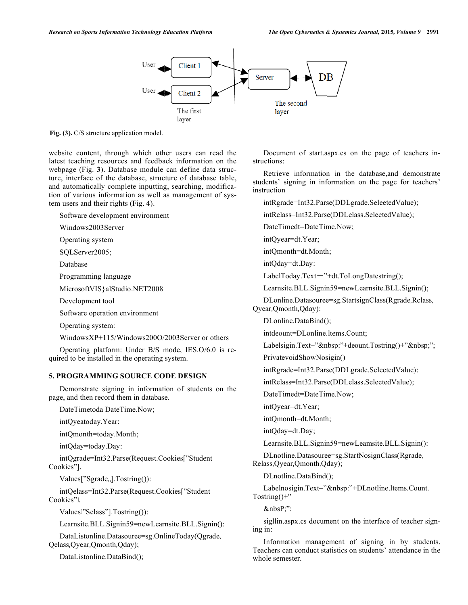

Fig. (3). C/S structure application model.

website content, through which other users can read the latest teaching resources and feedback information on the webpage (Fig. **3**). Database module can define data structure, interface of the database, structure of database table, and automatically complete inputting, searching, modification of various information as well as management of system users and their rights (Fig. **4**).

Software development environment

Windows2003Server

Operating system

SQLServer2005;

Database

Programming language

MierosoftVIS}alStudio.NET2008

Development tool

Software operation environment

Operating system:

WindowsXP+115/Windows200O/2003Server or others

Operating platform: Under B/S mode, IES.O/6.0 is required to be installed in the operating system.

# **5. PROGRAMMING SOURCE CODE DESIGN**

Demonstrate signing in information of students on the page, and then record them in database.

DateTimetoda DateTime.Now;

intQyeatoday.Year:

intQmonth=today.Month;

intQday=today.Day:

intQgrade=Int32.Parse(Request.Cookies["Student Cookies"].

Values["Sgrade,,].Tostring()):

intQelass=Int32.Parse(Request.Cookies["Student Cookies").

Values("Selass"].Tostring()):

Learnsite.BLL.Signin59=newLearnsite.BLL.Signin():

DataListonline.Datasouree=sg.OnlineToday(Qgrade, Qelass,Qyear,Qmonth,Qday);

DataListonline.DataBind();

Document of start.aspx.es on the page of teachers instructions:

Retrieve information in the database,and demonstrate students' signing in information on the page for teachers' instruction

intRgrade=Int32.Parse(DDLgrade.SeleetedValue);

intRelass=Int32.Parse(DDLelass.SeleetedValue);

DateTimedt=DateTime.Now;

intQyear=dt.Year;

intQmonth=dt.Month;

intQday=dt.Day:

 $LabelToday.Text$ "+dt.ToLongDatestring();

Learnsite.BLL.Signin59=newLearnsite.BLL.Signin();

DLonline.Datasouree=sg.StartsignClass(Rgrade,Rclass,

Qyear,Qmonth,Qday):

DLonline.DataBind():

intdeount=DLonline.ltems.Count;

Labelsigin.Text-" $\&$ nbsp:"+deount.Tostring()+" $\&$ nbsp;";

PrivatevoidShowNosigin()

intRgrade=Int32.Parse(DDLgrade.SelectedValue):

intRelass=Int32.Parse(DDLelass.SeleetedValue);

DateTimedt=DateTime.Now;

intQyear=dt.Year;

intQmonth=dt.Month;

intQday=dt.Day;

Learnsite.BLL.Signin59=newLeamsite.BLL.Signin():

DLnotline.Datasouree=sg.StartNosignClass(Rgrade, Relass,Qyear,Qmonth,Qday);

DLnotline.DataBind();

Labelnosigin.Text-"&nbsp:"+DLnotline.ltems.Count.  $Tostring()$ +"

&nbsP;":

sigllin.aspx.cs document on the interface of teacher signing in:

Information management of signing in by students. Teachers can conduct statistics on students' attendance in the whole semester.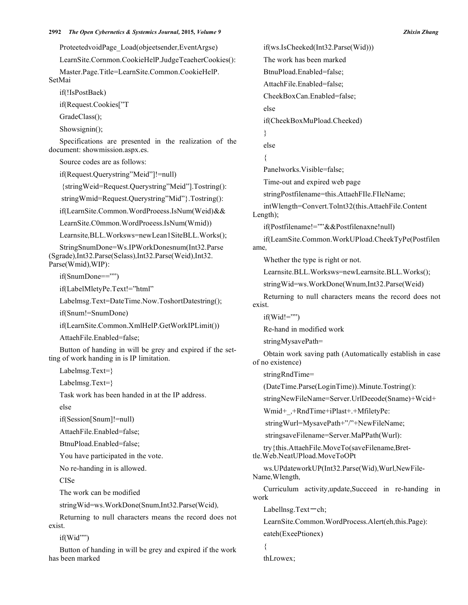ProteetedvoidPage\_Load(objeetsender,EventArgse)

LearnSite.Cornmon.CookieHelP.JudgeTeaeherCookies():

Master.Page.Title=LearnSite.Common.CookieHelP. SetMai

if(!IsPostBaek)

if(Request.Cookies["T

- GradeClass();
- Showsignin();

Specifications are presented in the realization of the document: showmission.aspx.es.

Source codes are as follows:

if(Request.Querystring"Meid"]!=null)

{stringWeid=Request.Querystring"Meid"].Tostring():

stringWmid=Request.Querystring"Mid"}.Tostring():

if(LearnSite.Common.WordProeess.IsNum(Weid)&&

LearnSite.C0mmon.WordProeess.IsNum(Wmid))

Learnsite,BLL.Worksws=newLean1SiteBLL.Works();

StringSnumDone=Ws.IPWorkDonesnum(Int32.Parse (Sgrade),Int32.Parse(Selass),Int32.Parse(Weid),Int32. Parse(Wmid),WIP):

if(SnumDone=="")

if(LabelMletyPe.Text!="html"

Labelmsg.Text=DateTime.Now.ToshortDatestring();

if(Snum!=SnumDone)

if(LearnSite.Common.XmlHelP.GetWorkIPLimit())

AttaehFile.Enabled=false;

Button of handing in will be grey and expired if the setting of work handing in is IP limitation.

Labelmsg.Text=}

Labelmsg.Text=}

Task work has been handed in at the IP address.

else

if(Session[Snum]!=null)

AttaehFile.Enabled=false;

BtnuPload.Enabled=false;

You have participated in the vote.

No re-handing in is allowed.

CISe

The work can be modified

stringWid=ws.WorkDone(Snum,Int32.Parse(Wcid),

Returning to null characters means the record does not exist.

if(Wid"")

Button of handing in will be grey and expired if the work has been marked

if(ws.IsCheeked(Int32.Parse(Wid))) The work has been marked BtnuPload.Enabled=false; AttachFile.Enabled=false; CheekBoxCan.Enabled=false; else if(CheekBoxMuPload.Cheeked) } else { Panelworks.Visible=false; Time-out and expired web page stringPostfilename=this.AttaehFIle.FIleName; intWlength=Convert.Tolnt32(this.AttaehFile.Content Length); if(Postfilename!=""&&Postfilenaxne!null) if(LeamSite.Common.WorkUPload.CheekTyPe(Postfilen ame, Whether the type is right or not. Learnsite.BLL.Worksws=newLearnsite.BLL.Works(); stringWid=ws.WorkDone(Wnum,Int32.Parse(Weid) Returning to null characters means the record does not exist.  $if(Wid!="="")$ Re-hand in modified work stringMysavePath= Obtain work saving path (Automatically establish in case of no existence) stringRndTime= (DateTime.Parse(LoginTime)).Minute.Tostring(): stringNewFileName=Server.UrlDeeode(Sname)+Wcid+ Wmid+\_,+RndTime+iPlast+.+MfiletyPe: stringWurl=MysavePath+"/"+NewFileName; stringsaveFilename=Server.MaPPath(Wurl): try{this.AttaehFile.MoveTo(saveFilename,Brettle.Web.NeatUPload.MoveToOPt ws.UPdateworkUP(Int32.Parse(Wid),Wurl,NewFile-Name,Wlength, Curriculum activity,update,Succeed in re-handing in work Labellnsg.Text $=$ ch; LearnSite.Common.WordProcess.Alert(eh,this.Page): eateh(ExeePtionex) {

thLrowex;